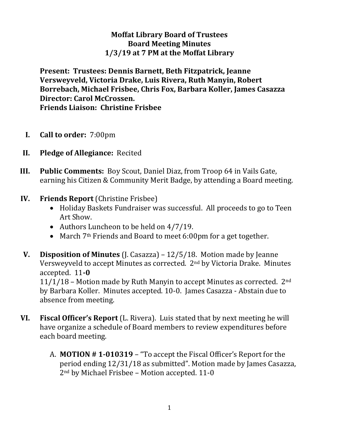## **Moffat Library Board of Trustees Board Meeting Minutes 1/3/19 at 7 PM at the Moffat Library**

**Present: Trustees: Dennis Barnett, Beth Fitzpatrick, Jeanne Versweyveld, Victoria Drake, Luis Rivera, Ruth Manyin, Robert Borrebach, Michael Frisbee, Chris Fox, Barbara Koller, James Casazza Director: Carol McCrossen. Friends Liaison: Christine Frisbee**

- **I. Call to order:** 7:00pm
- **II. Pledge of Allegiance:** Recited
- **III. Public Comments:** Boy Scout, Daniel Diaz, from Troop 64 in Vails Gate, earning his Citizen & Community Merit Badge, by attending a Board meeting.
- **IV. Friends Report** (Christine Frisbee)
	- Holiday Baskets Fundraiser was successful. All proceeds to go to Teen Art Show.
	- Authors Luncheon to be held on  $4/7/19$ .
	- March 7<sup>th</sup> Friends and Board to meet 6:00pm for a get together.
- **V. Disposition of Minutes** (J. Casazza) 12/5/18. Motion made by Jeanne Versweyveld to accept Minutes as corrected. 2nd by Victoria Drake. Minutes accepted. 11**-0**

 $11/1/18$  – Motion made by Ruth Manyin to accept Minutes as corrected.  $2<sup>nd</sup>$ by Barbara Koller. Minutes accepted. 10-0. James Casazza - Abstain due to absence from meeting.

- **VI. Fiscal Officer's Report** (L. Rivera). Luis stated that by next meeting he will have organize a schedule of Board members to review expenditures before each board meeting.
	- A. **MOTION # 1-010319** "To accept the Fiscal Officer's Report for the period ending 12/31/18 as submitted". Motion made by James Casazza, 2nd by Michael Frisbee – Motion accepted. 11-0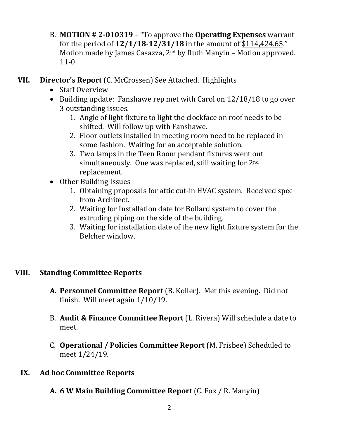- B. **MOTION # 2-010319** "To approve the **Operating Expenses** warrant for the period of **12/1/18-12/31/18** in the amount of \$114,424.65." Motion made by James Casazza, 2nd by Ruth Manyin – Motion approved. 11-0
- **VII. Director's Report** (C. McCrossen) See Attached. Highlights
	- Staff Overview
	- Building update: Fanshawe rep met with Carol on 12/18/18 to go over 3 outstanding issues.
		- 1. Angle of light fixture to light the clockface on roof needs to be shifted. Will follow up with Fanshawe.
		- 2. Floor outlets installed in meeting room need to be replaced in some fashion. Waiting for an acceptable solution.
		- 3. Two lamps in the Teen Room pendant fixtures went out simultaneously. One was replaced, still waiting for 2nd replacement.
	- Other Building Issues
		- 1. Obtaining proposals for attic cut-in HVAC system. Received spec from Architect.
		- 2. Waiting for Installation date for Bollard system to cover the extruding piping on the side of the building.
		- 3. Waiting for installation date of the new light fixture system for the Belcher window.

## **VIII. Standing Committee Reports**

- **A. Personnel Committee Report** (B. Koller). Met this evening. Did not finish. Will meet again 1/10/19.
- B. **Audit & Finance Committee Report** (L. Rivera) Will schedule a date to meet.
- C. **Operational / Policies Committee Report** (M. Frisbee) Scheduled to meet 1/24/19.
- **IX. Ad hoc Committee Reports**
	- **A. 6 W Main Building Committee Report** (C. Fox / R. Manyin)